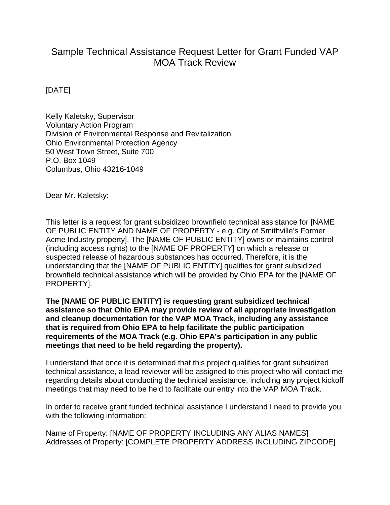## Sample Technical Assistance Request Letter for Grant Funded VAP MOA Track Review

[DATE]

Kelly Kaletsky, Supervisor Voluntary Action Program Division of Environmental Response and Revitalization Ohio Environmental Protection Agency 50 West Town Street, Suite 700 P.O. Box 1049 Columbus, Ohio 43216-1049

Dear Mr. Kaletsky:

This letter is a request for grant subsidized brownfield technical assistance for [NAME OF PUBLIC ENTITY AND NAME OF PROPERTY - e.g. City of Smithville's Former Acme Industry property]. The [NAME OF PUBLIC ENTITY] owns or maintains control (including access rights) to the [NAME OF PROPERTY] on which a release or suspected release of hazardous substances has occurred. Therefore, it is the understanding that the [NAME OF PUBLIC ENTITY] qualifies for grant subsidized brownfield technical assistance which will be provided by Ohio EPA for the [NAME OF PROPERTY].

**The [NAME OF PUBLIC ENTITY] is requesting grant subsidized technical assistance so that Ohio EPA may provide review of all appropriate investigation and cleanup documentation for the VAP MOA Track, including any assistance that is required from Ohio EPA to help facilitate the public participation requirements of the MOA Track (e.g. Ohio EPA's participation in any public meetings that need to be held regarding the property).**

I understand that once it is determined that this project qualifies for grant subsidized technical assistance, a lead reviewer will be assigned to this project who will contact me regarding details about conducting the technical assistance, including any project kickoff meetings that may need to be held to facilitate our entry into the VAP MOA Track.

In order to receive grant funded technical assistance I understand I need to provide you with the following information:

Name of Property: [NAME OF PROPERTY INCLUDING ANY ALIAS NAMES] Addresses of Property: [COMPLETE PROPERTY ADDRESS INCLUDING ZIPCODE]